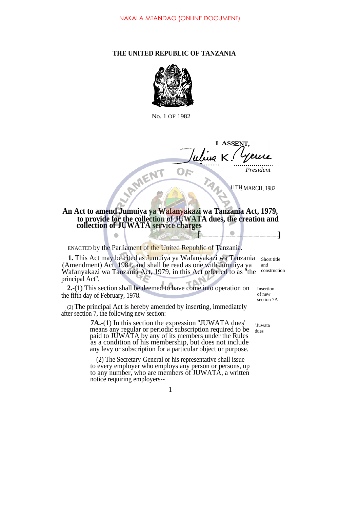## **THE UNITED REPUBLIC OF TANZANIA**



No. 1 OF 1982

**I ASSE** *K.* • ......... - **ANVIENT** *President*

11TH.MARCH, 1982

**An Act to amend Jumuiya ya Wafanyakazi wa Tanzania Act, 1979, to provide for the collection of JUWATA dues, the creation and collection of JUWATA service charges**  $[$ 

ENACTED by the Parliament of the United Republic of Tanzania.

**1.** This Act may be cited as Jumuiya ya Wafanyakazi wa Tanzania (Amendment) Act. 1981, and shall be read as one with Jumuiya ya Wafanyakazi wa Tanzania Act, 1979, in this Act referred to as ''the construction principal Act''. Short title and

**2.**-(1) This section shall be deemed to have come into operation on the fifth day of February, 1978. Insertion

(2) The principal Act is hereby amended by inserting, immediately after section 7, the following new section:

> **7A.**-(1) In this section the expression ''JUWATA dues' means any regular or periodic subscription required to be paid to JUWATA by any of its members under the Rules as a condition of his membership, but does not include any levy or subscription for a particular object or purpose.

> (2) The Secretary-General or his representative shall issue to every employer who employs any person or persons, up to any number, who are members of JUWATA, a written notice requiring employers--

of new section 7A

''Juwata dues

1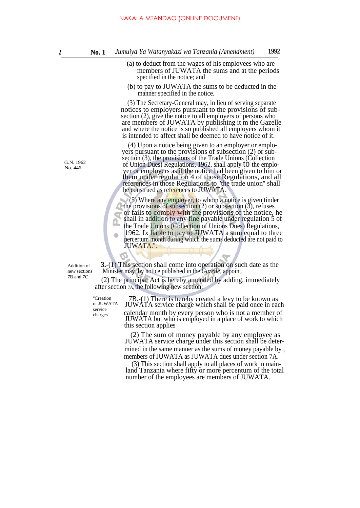- (a) to deduct from the wages of his employees who are members of JUWATA the sums and at the periods specified in the notice; and
- (b) to pay to JUWATA the sums to be deducted in the manner specified in the notice.

(3) The Secretary-General may, in lieu of serving separate notices to employers pursuant to the provisions of subsection (2), give the notice to all employers of persons who are members of JUWATA by publishing it m the Gazelle and where the notice is so published all employers whom it is intended to affect shall be deemed to have notice of it.

(4) Upon a notice being given to an employer or employers pursuant to the provisions of subsection (2) or subsection (3), the provisions of the Trade Unions (Collection of Union Dues) Regulations, 1962, shall apply to the employer or employers as if the notice had been given to him or them under regulation 4 of those Regulations, and all references in those Regulations to ''the trade union'' shall be construed as references to JUWATA.

(5) Where any employer, to whom a notice is given tinder the provisions of subsection  $(2)$  or subsection  $(3)$ , refuses or fails to comply with the provisions of the notice, he shall in addition to any fine payable under regulation 5 of the Trade Unions (Collection of Unions Dues) Regulations, 1962. Ix liable to pay to JUWATA a sum equal to three percertum month during which the sums deducted are not paid to JUWATA.''.

Addition of new sections 7B and 7C

**3.**-(1) This section shall come into operation on such date as the Minister may, by notice published in the *Gazelle,* appoint.

(2) The principal Act is hereby amended by adding, immediately after section 7A, the following new section:

''Creation of JUWATA service charges

7B.-(1) There is hereby created a levy to be known as JUWATA service charge which shall be paid once in each calendar month by every person who is not a member of JUWATA but who is employed in a place of work to which this section applies

(2) The sum of money payable by any employee as JUWATA service charge under this section shall be determined in the same manner as the sums of money payable by , members of JUWATA as JUWATA dues under section 7A.

(3) This section shall apply to all places of work in mainland Tanzania where fifty or more percentum of the total number of the employees are members of JUWATA.

G.N. 1962 No. 446